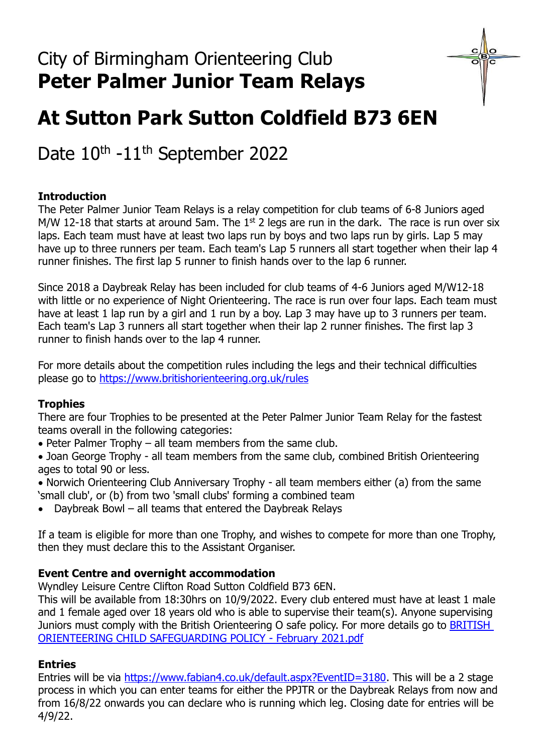# **At Sutton Park Sutton Coldfield B73 6EN**

Date 10<sup>th</sup> -11<sup>th</sup> September 2022

## **Introduction**

The Peter Palmer Junior Team Relays is a relay competition for club teams of 6-8 Juniors aged M/W 12-18 that starts at around 5am. The  $1<sup>st</sup>$  2 legs are run in the dark. The race is run over six laps. Each team must have at least two laps run by boys and two laps run by girls. Lap 5 may have up to three runners per team. Each team's Lap 5 runners all start together when their lap 4 runner finishes. The first lap 5 runner to finish hands over to the lap 6 runner.

Since 2018 a Daybreak Relay has been included for club teams of 4-6 Juniors aged M/W12-18 with little or no experience of Night Orienteering. The race is run over four laps. Each team must have at least 1 lap run by a girl and 1 run by a boy. Lap 3 may have up to 3 runners per team. Each team's Lap 3 runners all start together when their lap 2 runner finishes. The first lap 3 runner to finish hands over to the lap 4 runner.

For more details about the competition rules including the legs and their technical difficulties please go to <https://www.britishorienteering.org.uk/rules>

### **Trophies**

There are four Trophies to be presented at the Peter Palmer Junior Team Relay for the fastest teams overall in the following categories:

• Peter Palmer Trophy – all team members from the same club.

• Joan George Trophy - all team members from the same club, combined British Orienteering ages to total 90 or less.

• Norwich Orienteering Club Anniversary Trophy - all team members either (a) from the same 'small club', or (b) from two 'small clubs' forming a combined team

• Daybreak Bowl – all teams that entered the Daybreak Relays

If a team is eligible for more than one Trophy, and wishes to compete for more than one Trophy, then they must declare this to the Assistant Organiser.

### **Event Centre and overnight accommodation**

Wyndley Leisure Centre Clifton Road Sutton Coldfield B73 6EN.

This will be available from 18:30hrs on 10/9/2022. Every club entered must have at least 1 male and 1 female aged over 18 years old who is able to supervise their team(s). Anyone supervising Juniors must comply with the British Orienteering O safe policy. For more details go to [BRITISH](file:///C:/Users/User/Downloads/BRITISH%20ORIENTEERING%20CHILD%20SAFEGUARDING%20POLICY%20-%20February%202021.pdf)  [ORIENTEERING CHILD SAFEGUARDING POLICY -](file:///C:/Users/User/Downloads/BRITISH%20ORIENTEERING%20CHILD%20SAFEGUARDING%20POLICY%20-%20February%202021.pdf) February 2021.pdf

### **Entries**

Entries will be via [https://www.fabian4.co.uk/default.aspx?EventID=3180.](https://www.fabian4.co.uk/default.aspx?EventID=3180) This will be a 2 stage process in which you can enter teams for either the PPJTR or the Daybreak Relays from now and from 16/8/22 onwards you can declare who is running which leg. Closing date for entries will be 4/9/22.